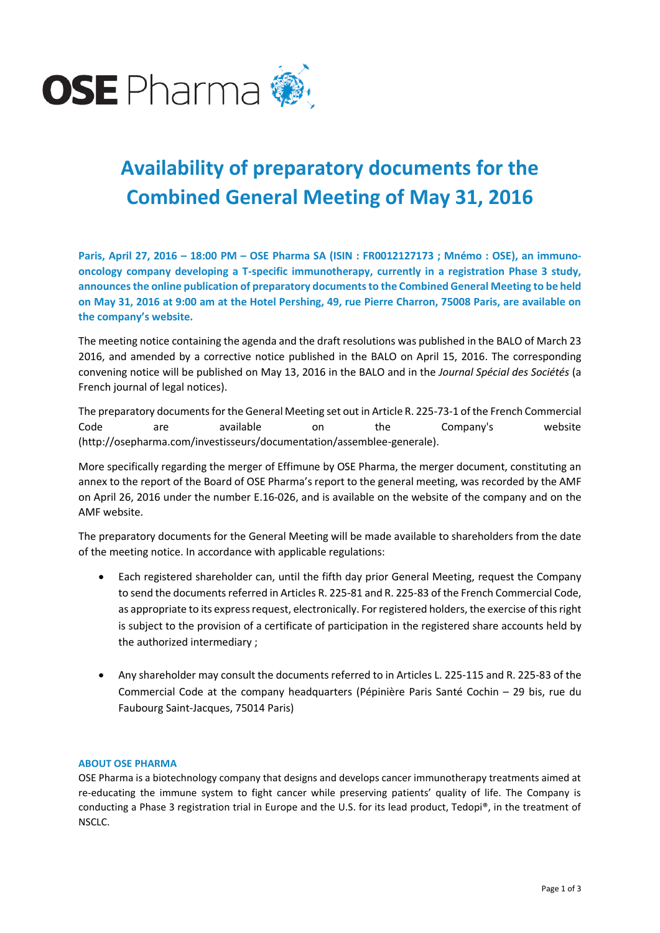

# **Availability of preparatory documents for the Combined General Meeting of May 31, 2016**

**Paris, April 27, 2016 – 18:00 PM – OSE Pharma SA (ISIN : FR0012127173 ; Mnémo : OSE), an immunooncology company developing a T-specific immunotherapy, currently in a registration Phase 3 study, announces the online publication of preparatory documents to the Combined General Meeting to be held on May 31, 2016 at 9:00 am at the Hotel Pershing, 49, rue Pierre Charron, 75008 Paris, are available on the company's website.**

The meeting notice containing the agenda and the draft resolutions was published in the BALO of March 23 2016, and amended by a corrective notice published in the BALO on April 15, 2016. The corresponding convening notice will be published on May 13, 2016 in the BALO and in the *Journal Spécial des Sociétés* (a French journal of legal notices).

The preparatory documents for the General Meeting set out in Article R. 225-73-1 of the French Commercial Code are available on the Company's website (http://osepharma.com/investisseurs/documentation/assemblee-generale).

More specifically regarding the merger of Effimune by OSE Pharma, the merger document, constituting an annex to the report of the Board of OSE Pharma's report to the general meeting, was recorded by the AMF on April 26, 2016 under the number E.16-026, and is available on the website of the company and on the AMF website.

The preparatory documents for the General Meeting will be made available to shareholders from the date of the meeting notice. In accordance with applicable regulations:

- Each registered shareholder can, until the fifth day prior General Meeting, request the Company to send the documents referred in Articles R. 225-81 and R. 225-83 of the French Commercial Code, as appropriate to its express request, electronically. For registered holders, the exercise of this right is subject to the provision of a certificate of participation in the registered share accounts held by the authorized intermediary ;
- Any shareholder may consult the documents referred to in Articles L. 225-115 and R. 225-83 of the Commercial Code at the company headquarters (Pépinière Paris Santé Cochin – 29 bis, rue du Faubourg Saint-Jacques, 75014 Paris)

## **ABOUT OSE PHARMA**

OSE Pharma is a biotechnology company that designs and develops cancer immunotherapy treatments aimed at re-educating the immune system to fight cancer while preserving patients' quality of life. The Company is conducting a Phase 3 registration trial in Europe and the U.S. for its lead product, Tedopi®, in the treatment of NSCLC.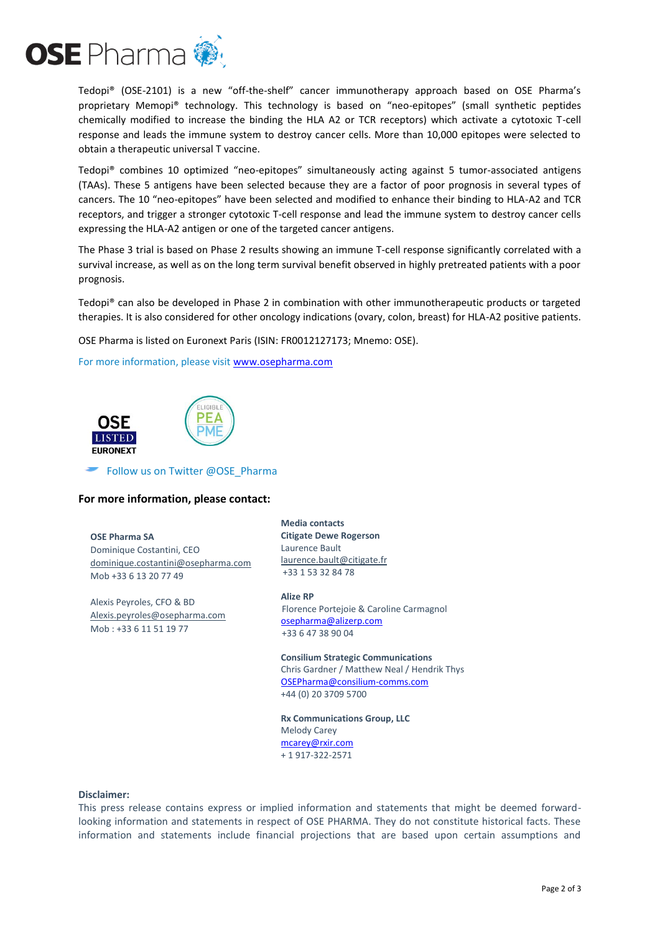

Tedopi® (OSE-2101) is a new "off-the-shelf" cancer immunotherapy approach based on OSE Pharma's proprietary Memopi® technology. This technology is based on "neo-epitopes" (small synthetic peptides chemically modified to increase the binding the HLA A2 or TCR receptors) which activate a cytotoxic T-cell response and leads the immune system to destroy cancer cells. More than 10,000 epitopes were selected to obtain a therapeutic universal T vaccine.

Tedopi® combines 10 optimized "neo-epitopes" simultaneously acting against 5 tumor-associated antigens (TAAs). These 5 antigens have been selected because they are a factor of poor prognosis in several types of cancers. The 10 "neo-epitopes" have been selected and modified to enhance their binding to HLA-A2 and TCR receptors, and trigger a stronger cytotoxic T-cell response and lead the immune system to destroy cancer cells expressing the HLA-A2 antigen or one of the targeted cancer antigens.

The Phase 3 trial is based on Phase 2 results showing an immune T-cell response significantly correlated with a survival increase, as well as on the long term survival benefit observed in highly pretreated patients with a poor prognosis.

Tedopi® can also be developed in Phase 2 in combination with other immunotherapeutic products or targeted therapies. It is also considered for other oncology indications (ovary, colon, breast) for HLA-A2 positive patients.

OSE Pharma is listed on Euronext Paris (ISIN: FR0012127173; Mnemo: OSE).

For more information, please visit [www.osepharma.com](http://www.osepharma.com/)



Follow us on Twitter @OSE\_Pharma

## **For more information, please contact:**

#### **OSE Pharma SA**

Dominique Costantini, CEO [dominique.costantini@osepharma.com](mailto:dominique.costantini@osepharma.com) Mob +33 6 13 20 77 49

Alexis Peyroles, CFO & BD [Alexis.peyroles@osepharma.com](mailto:Alexis.peyroles@osepharma.com) Mob : +33 6 11 51 19 77

**Media contacts Citigate Dewe Rogerson**  Laurence Bault [laurence.bault@citigate.fr](mailto:laurence.bault@citigate.fr) +33 1 53 32 84 78

**Alize RP** Florence Portejoie & Caroline Carmagnol [osepharma@alizerp.com](mailto:osepharma@alizerp.com) +33 6 47 38 90 04

**Consilium Strategic Communications** Chris Gardner / Matthew Neal / Hendrik Thys [OSEPharma@consilium-comms.com](mailto:OSEPharma@consilium-comms.com) +44 (0) 20 3709 5700

**Rx Communications Group, LLC** Melody Carey [mcarey@rxir.com](mailto:mcarey@rxir.com) + 1 917-322-2571

#### **Disclaimer:**

This press release contains express or implied information and statements that might be deemed forwardlooking information and statements in respect of OSE PHARMA. They do not constitute historical facts. These information and statements include financial projections that are based upon certain assumptions and